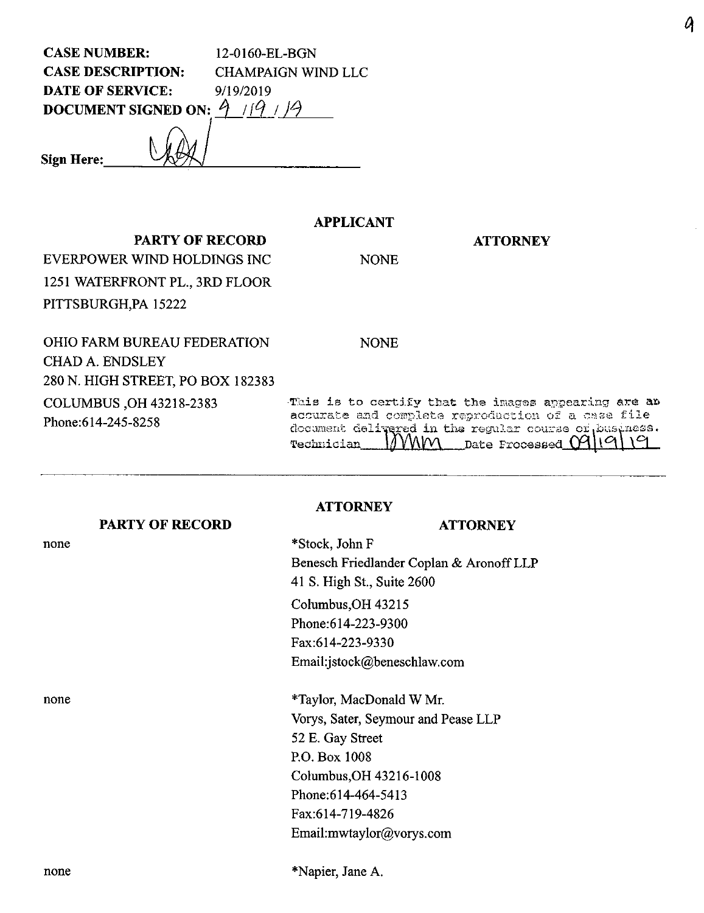CASE NUMBER: 12-0160-EL-BGN CASE DESCRIPTION: CHAMPAIGN WIND LLC DATE OF SERVICE: 9/19/2019 **DOCUMENT SIGNED ON:**  $\hat{9}$  / $\hat{9}$  /

**PARTY OF RECORD**

**Sign Here:**

## **APPLICANT**

## **ATTORNEY**

EVERPOWER WIND HOLDINGS INC 1251 WATERFRONT PL., 3RD FLOOR PITTSBURGH,PA 15222

OHIO FARM BUREAU FEDERATION CHAD A. ENDSLEY 280 N. HIGH STREET, PO BOX 182383 COLUMBUS ,OH 43218-2383 Phone:614-245-8258

NONE

NONE

-This is to certify that the images appearing are are accurate and complete reproduction of a case file document delivered in the regular course of business.<br>Technician MMM Date Processed 09119119 *Technician j'W\l/V\ Date Proc-asaed CP\* c

### **PARTY OF RECORD**

none

#### **ATTORNEY**

#### **ATTORNEY**

\*Stock, John F Benesch Friedlander Coplan & AronoffLLP 41 S. High St., Suite 2600 CoIumbus,OH 43215 Phone:614-223-9300 Fax:614-223-9330 Email:jstock@beneschlaw.com

none \*Taylor, MacDonald W Mr. Vorys, Sater, Seymour and Pease LLP 52 E. Gay Street RO. Box 1008 Columbus,OH 43216-1008 Phone:614-464-5413 Fax:614-719-4826 Email:mwtaylor@vorys.com

none \*Napier, Jane A.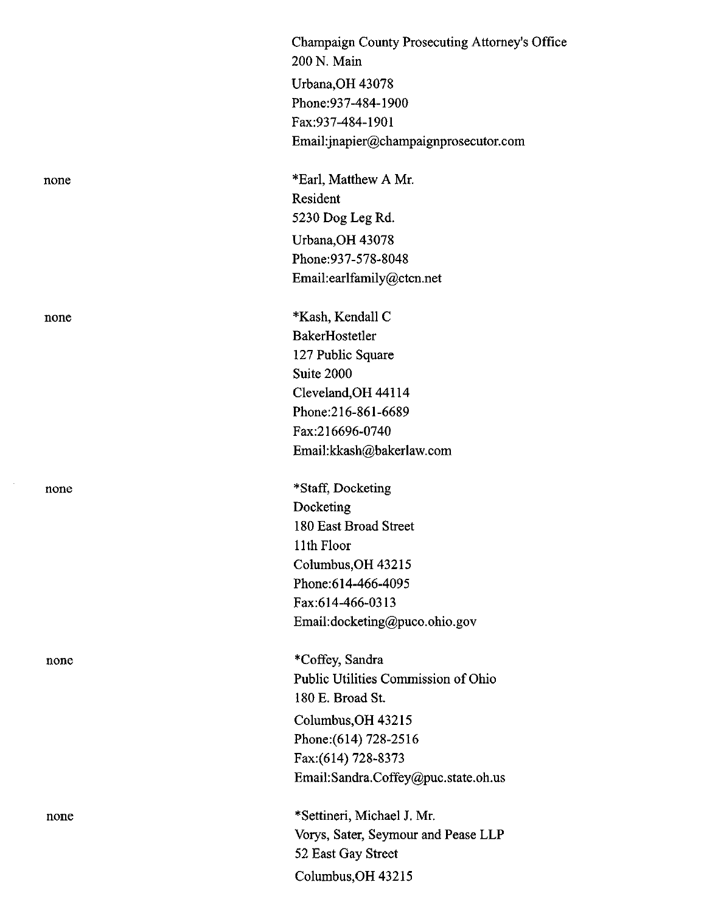|      | Champaign County Prosecuting Attorney's Office<br>200 N. Main |
|------|---------------------------------------------------------------|
|      | Urbana, OH 43078                                              |
|      | Phone: 937-484-1900                                           |
|      | Fax:937-484-1901                                              |
|      | Email:jnapier@champaignprosecutor.com                         |
| none | *Earl, Matthew A Mr.                                          |
|      | Resident                                                      |
|      | 5230 Dog Leg Rd.                                              |
|      | Urbana, OH 43078                                              |
|      | Phone: 937-578-8048                                           |
|      | Email:earlfamily@ctcn.net                                     |
| none | *Kash, Kendall C                                              |
|      | BakerHostetler                                                |
|      | 127 Public Square                                             |
|      | Suite 2000                                                    |
|      | Cleveland, OH 44114                                           |
|      | Phone:216-861-6689                                            |
|      | Fax:216696-0740                                               |
|      | Email:kkash@bakerlaw.com                                      |
| none | *Staff, Docketing                                             |
|      | Docketing                                                     |
|      | 180 East Broad Street                                         |
|      | 11th Floor                                                    |
|      | Columbus, OH 43215                                            |
|      | Phone: 614-466-4095                                           |
|      | Fax:614-466-0313                                              |
|      | Email:docketing@puco.ohio.gov                                 |
| none | *Coffey, Sandra                                               |
|      | Public Utilities Commission of Ohio                           |
|      | 180 E. Broad St.                                              |
|      | Columbus, OH 43215                                            |
|      | Phone: (614) 728-2516                                         |
|      | Fax:(614) 728-8373                                            |
|      | Email:Sandra.Coffey@puc.state.oh.us                           |
| none | *Settineri, Michael J. Mr.                                    |
|      | Vorys, Sater, Seymour and Pease LLP                           |
|      | 52 East Gay Street                                            |
|      | Columbus, OH 43215                                            |

 $\sim$   $\sim$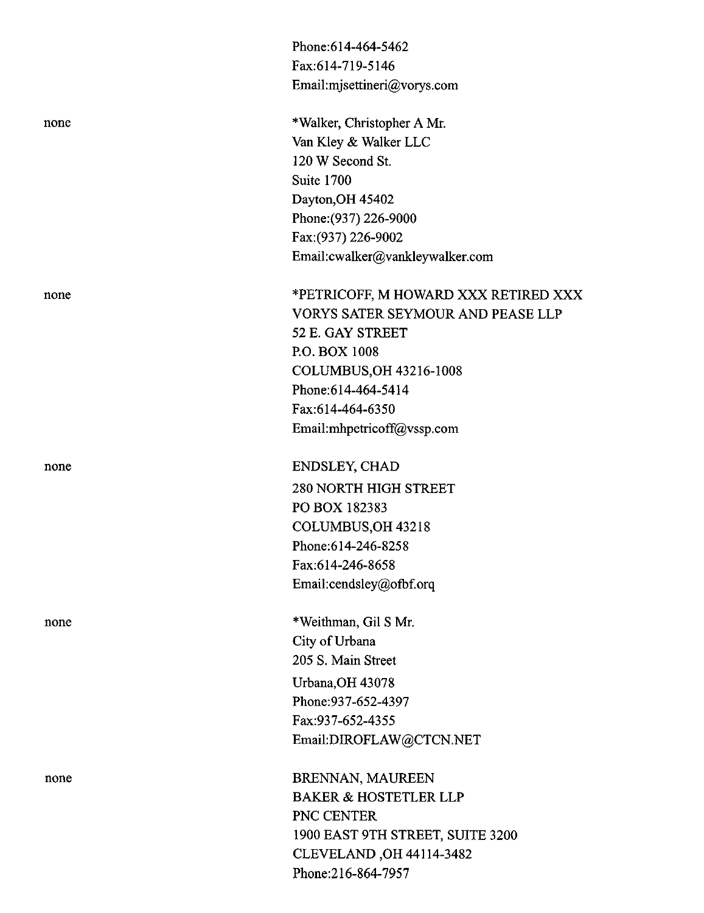|      | Phone:614-464-5462                       |
|------|------------------------------------------|
|      | Fax:614-719-5146                         |
|      | Email:mjsettineri@vorys.com              |
| none | *Walker, Christopher A Mr.               |
|      | Van Kley & Walker LLC                    |
|      | 120 W Second St.                         |
|      | Suite 1700                               |
|      | Dayton, OH 45402                         |
|      | Phone: (937) 226-9000                    |
|      | Fax: (937) 226-9002                      |
|      | Email:cwalker@vankleywalker.com          |
| none | *PETRICOFF, M HOWARD XXX RETIRED XXX     |
|      | <b>VORYS SATER SEYMOUR AND PEASE LLP</b> |
|      | 52 E. GAY STREET                         |
|      | P.O. BOX 1008                            |
|      | <b>COLUMBUS, OH 43216-1008</b>           |
|      | Phone: 614-464-5414                      |
|      | Fax:614-464-6350                         |
|      | Email:mhpetricoff@vssp.com               |
| none | <b>ENDSLEY, CHAD</b>                     |
|      | <b>280 NORTH HIGH STREET</b>             |
|      | PO BOX 182383                            |
|      | COLUMBUS, OH 43218                       |
|      | Phone:614-246-8258                       |
|      | Fax:614-246-8658                         |
|      | Email:cendsley@ofbf.orq                  |
| none | *Weithman, Gil S Mr.                     |
|      | City of Urbana                           |
|      | 205 S. Main Street                       |
|      | Urbana, OH 43078                         |
|      | Phone: 937-652-4397                      |
|      | Fax:937-652-4355                         |
|      | Email:DIROFLAW@CTCN.NET                  |
| none | BRENNAN, MAUREEN                         |
|      | <b>BAKER &amp; HOSTETLER LLP</b>         |
|      | PNC CENTER                               |
|      | 1900 EAST 9TH STREET, SUITE 3200         |
|      | CLEVELAND, OH 44114-3482                 |

Phone:216-864-7957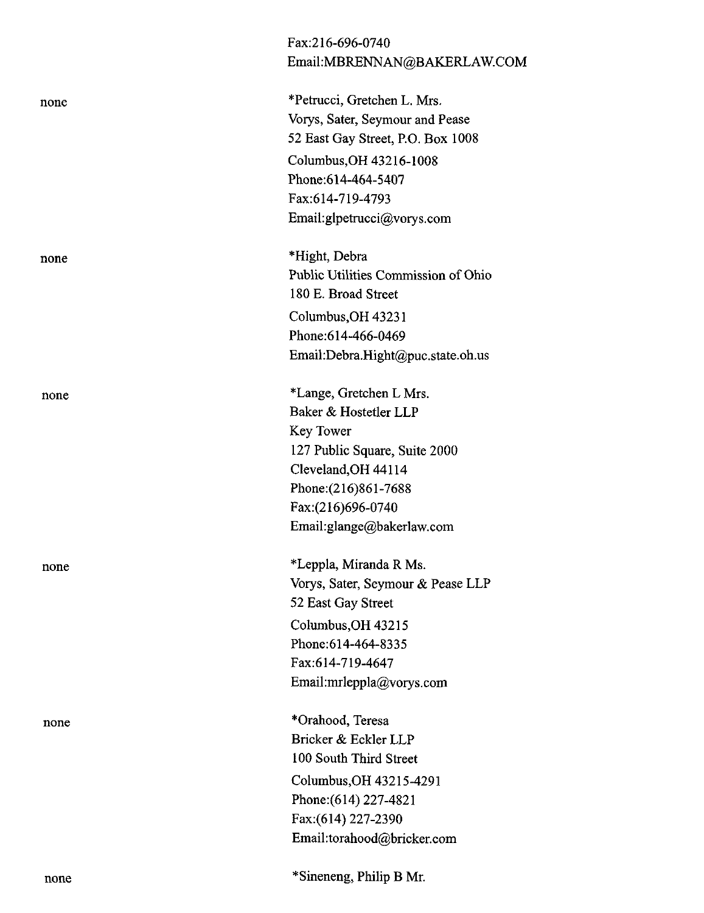|      | Email:MBRENNAN@BAKERLAW.COM         |
|------|-------------------------------------|
| none | *Petrucci, Gretchen L. Mrs.         |
|      | Vorys, Sater, Seymour and Pease     |
|      | 52 East Gay Street, P.O. Box 1008   |
|      | Columbus, OH 43216-1008             |
|      | Phone: 614-464-5407                 |
|      | Fax:614-719-4793                    |
|      | Email:glpetrucci@vorys.com          |
| none | *Hight, Debra                       |
|      | Public Utilities Commission of Ohio |
|      | 180 E. Broad Street                 |
|      | Columbus, OH 43231                  |
|      | Phone: 614-466-0469                 |
|      | Email:Debra.Hight@puc.state.oh.us   |
| none | *Lange, Gretchen L Mrs.             |
|      | Baker & Hostetler LLP               |
|      | Key Tower                           |
|      | 127 Public Square, Suite 2000       |
|      | Cleveland, OH 44114                 |
|      | Phone: (216)861-7688                |
|      | Fax:(216)696-0740                   |
|      | Email:glange@bakerlaw.com           |
| none | *Leppla, Miranda R Ms.              |
|      | Vorys, Sater, Seymour & Pease LLP   |
|      | 52 East Gay Street                  |
|      | Columbus, OH 43215                  |
|      | Phone: 614-464-8335                 |
|      | Fax:614-719-4647                    |
|      | Email:mrleppla@vorys.com            |
| none | *Orahood, Teresa                    |
|      | Bricker & Eckler LLP                |
|      | 100 South Third Street              |
|      | Columbus, OH 43215-4291             |
|      | Phone: (614) 227-4821               |
|      | Fax:(614) 227-2390                  |
|      | Email:torahood@bricker.com          |
| none | *Sineneng, Philip B Mr.             |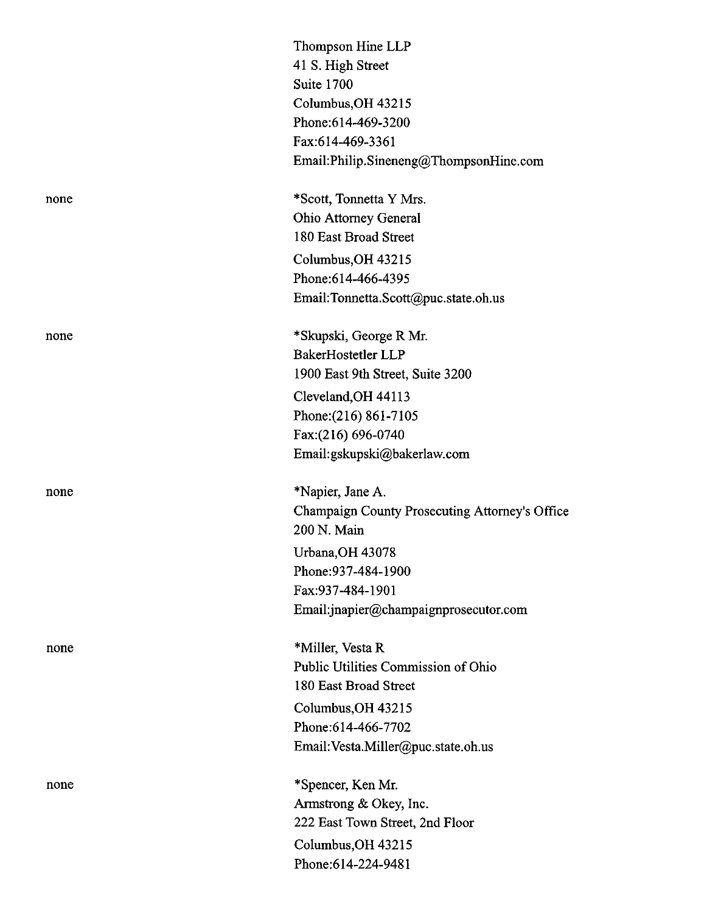|      | Thompson Hine LLP                              |
|------|------------------------------------------------|
|      | 41 S. High Street                              |
|      | Suite 1700                                     |
|      | Columbus, OH 43215                             |
|      | Phone: 614-469-3200                            |
|      | Fax:614-469-3361                               |
|      | Email:Philip.Sineneng@ThompsonHine.com         |
| none | *Scott, Tonnetta Y Mrs.                        |
|      | <b>Ohio Attorney General</b>                   |
|      | 180 East Broad Street                          |
|      | Columbus, OH 43215                             |
|      | Phone: 614-466-4395                            |
|      | Email:Tonnetta.Scott@puc.state.oh.us           |
| none | *Skupski, George R Mr.                         |
|      | BakerHostetler LLP                             |
|      | 1900 East 9th Street, Suite 3200               |
|      | Cleveland, OH 44113                            |
|      | Phone: (216) 861-7105                          |
|      | Fax:(216) 696-0740                             |
|      | Email:gskupski@bakerlaw.com                    |
| none | *Napier, Jane A.                               |
|      | Champaign County Prosecuting Attorney's Office |
|      | 200 N. Main                                    |
|      | Urbana, OH 43078                               |
|      | Phone: 937-484-1900                            |
|      | Fax: 937-484-1901                              |
|      | Email:jnapier@champaignprosecutor.com          |
| none | *Miller, Vesta R                               |
|      | Public Utilities Commission of Ohio            |
|      | 180 East Broad Street                          |
|      | Columbus, OH 43215                             |
|      | Phone: 614-466-7702                            |
|      | Email: Vesta.Miller@puc.state.oh.us            |
| none | *Spencer, Ken Mr.                              |
|      | Armstrong & Okey, Inc.                         |
|      | 222 East Town Street, 2nd Floor                |
|      | Columbus, OH 43215                             |
|      | Phone:614-224-9481                             |
|      |                                                |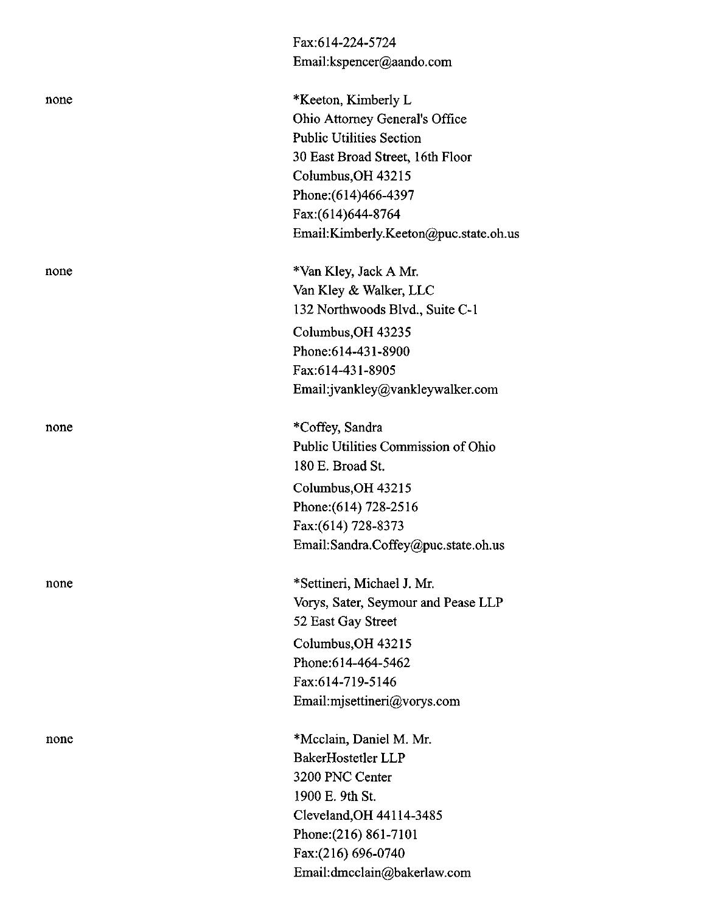|      | Fax:614-224-5724                      |
|------|---------------------------------------|
|      | Email:kspencer@aando.com              |
| none | *Keeton, Kimberly L                   |
|      | Ohio Attorney General's Office        |
|      | <b>Public Utilities Section</b>       |
|      | 30 East Broad Street, 16th Floor      |
|      | Columbus, OH 43215                    |
|      | Phone: (614) 466-4397                 |
|      | Fax:(614)644-8764                     |
|      | Email:Kimberly.Keeton@puc.state.oh.us |
| none | *Van Kley, Jack A Mr.                 |
|      | Van Kley & Walker, LLC                |
|      | 132 Northwoods Blvd., Suite C-1       |
|      | Columbus, OH 43235                    |
|      | Phone: 614-431-8900                   |
|      | Fax:614-431-8905                      |
|      | Email:jvankley@vankleywalker.com      |
| none | *Coffey, Sandra                       |
|      | Public Utilities Commission of Ohio   |
|      | 180 E. Broad St.                      |
|      | Columbus, OH 43215                    |
|      | Phone: (614) 728-2516                 |
|      | Fax:(614) 728-8373                    |
|      | Email:Sandra.Coffey@puc.state.oh.us   |
| none | *Settineri, Michael J. Mr.            |
|      | Vorys, Sater, Seymour and Pease LLP   |
|      | 52 East Gay Street                    |
|      | Columbus, OH 43215                    |
|      | Phone: 614-464-5462                   |
|      | Fax:614-719-5146                      |
|      | Email:misettineri@vorys.com           |
| none | *Mcclain, Daniel M. Mr.               |
|      | BakerHostetler LLP                    |
|      | 3200 PNC Center                       |
|      | 1900 E. 9th St.                       |
|      | Cleveland, OH 44114-3485              |
|      | Phone: (216) 861-7101                 |
|      | Fax:(216) 696-0740                    |
|      | Email:dmcclain@bakerlaw.com           |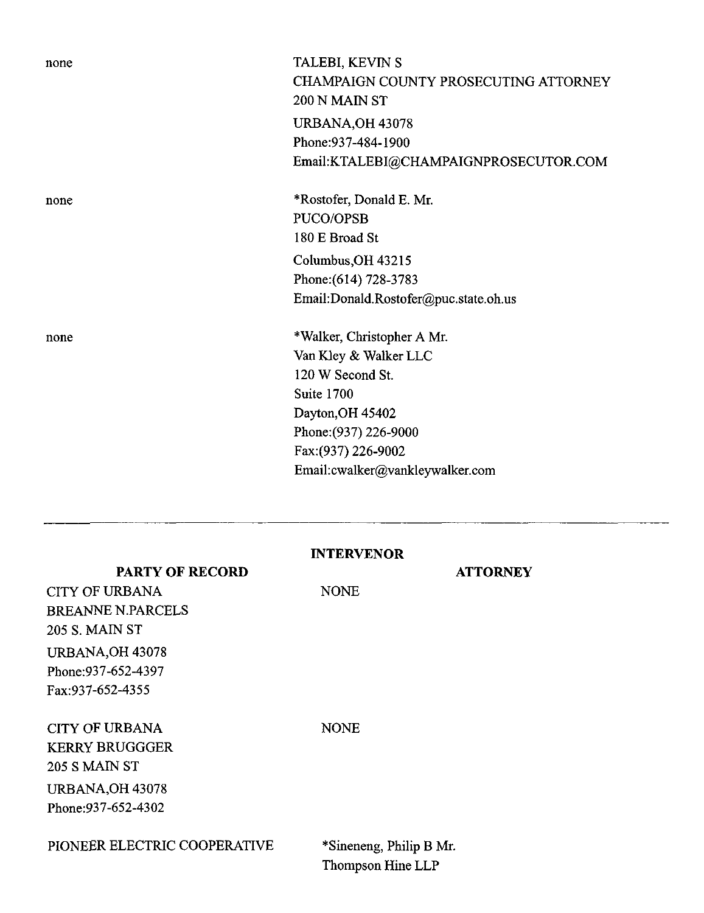| none | TALEBI, KEVIN S                       |
|------|---------------------------------------|
|      | CHAMPAIGN COUNTY PROSECUTING ATTORNEY |
|      | 200 N MAIN ST                         |
|      | <b>URBANA, OH 43078</b>               |
|      | Phone: 937-484-1900                   |
|      | Email:KTALEBI@CHAMPAIGNPROSECUTOR.COM |
| none | *Rostofer, Donald E. Mr.              |
|      | PUCO/OPSB                             |
|      | 180 E Broad St                        |
|      | Columbus, OH 43215                    |
|      | Phone: (614) 728-3783                 |
|      | Email:Donald.Rostofer@puc.state.oh.us |
| none | *Walker, Christopher A Mr.            |
|      | Van Kley & Walker LLC                 |
|      | 120 W Second St.                      |
|      | Suite 1700                            |
|      | Dayton, OH 45402                      |
|      | Phone: (937) 226-9000                 |
|      | Fax: (937) 226-9002                   |
|      | Email:cwalker@vankleywalker.com       |
|      |                                       |
|      |                                       |
|      |                                       |
|      |                                       |

| <b>INTERVENOR</b> |  |
|-------------------|--|
|-------------------|--|

NONE

**PARTY OF RECORD**

**ATTORNEY** 

CITY OF URBANA BREANNE N.PARCELS 205 S. MAIN ST URBANA,OH 43078 Phone:937-652-4397 Fax:937-652-4355

CITY OF URBANA KERRY BRUGGGER 205 S MAIN ST URBANA,OH 43078 Phone:937-652-4302

NONE

PIONEER ELECTRIC COOPERATIVE \*Sineneng, Philip B Mr.

Thompson Hine LLP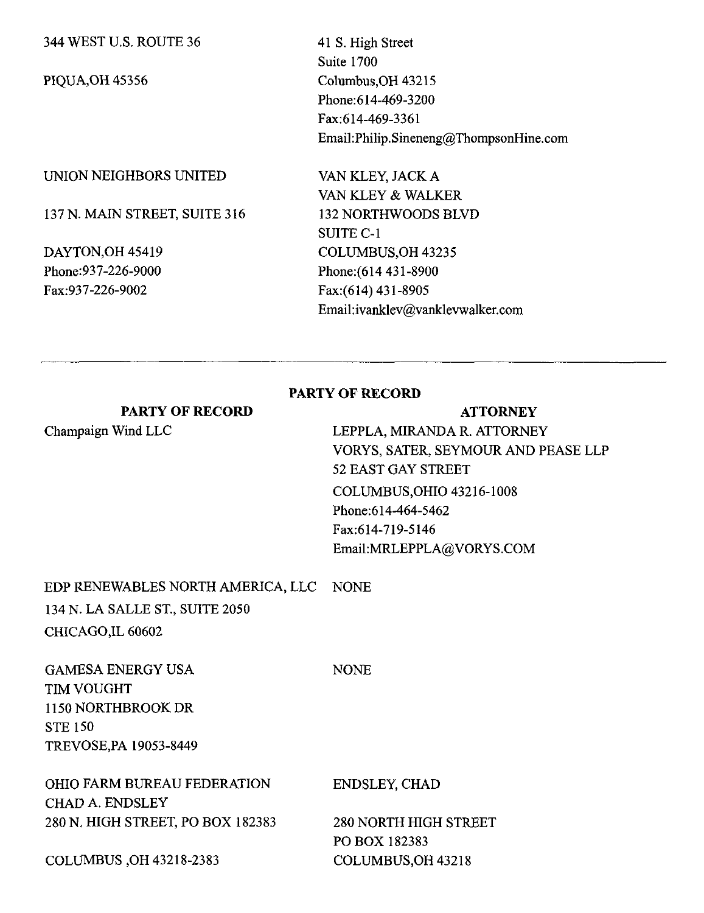344 WEST U.S. ROUTE 36

PIQUA,OH 45356

41 S. High Street Suite 1700 Columbus,OH43215 Phone:614-469-3200 Fax:614-469-3361 Email:Philip.Sineneng@ThompsonHine.com

#### UNION NEIGHBORS UNITED

137 N. MAIN STREET, SUITE 316

DAYTON,OH 45419 Phone:937-226-9000 Fax:937-226-9002

VAN KLEY, JACK A VAN KLEY & WALKER 132 NORTHWOODS BLVD SUITE C-1 COLUMBUS,OH 43235 Phone:(614 431-8900 Fax:(614) 431-8905 Email:ivanklev@vanklevwalker.com

#### **PARTY OF RECORD**

## PARTY OF RECORD Champaign Wind LLC **ATTORNEY** LEPPLA, MIRANDA R. ATTORNEY VORYS, SATER, SEYMOUR AND PEASE LLP 52 EAST GAY STREET COLUMBUS,OHIO 43216-1008 Phone:614-464-5462 Fax:614-719-5146 Email:MRLEPPLA@VORYS.COM

# EDP RENEWABLES NORTH AMERICA, LLC NONE 134 N. LA SALLE ST., SUITE 2050 CHICAGO,IL 60602

GAMESA ENERGY USA TIM VOUGHT 1150 NORTHBROOK DR STE 150 TREVOSE,PA 19053-8449

OHIO FARM BUREAU FEDERATION CHAD A. ENDSLEY 280 N. HIGH STREET, PO BOX 182383

**NONE** 

ENDSLEY, CHAD

280 NORTH HIGH STREET PO BOX 182383 COLUMBUS,OH 43218

COLUMBUS ,OH 43218-2383